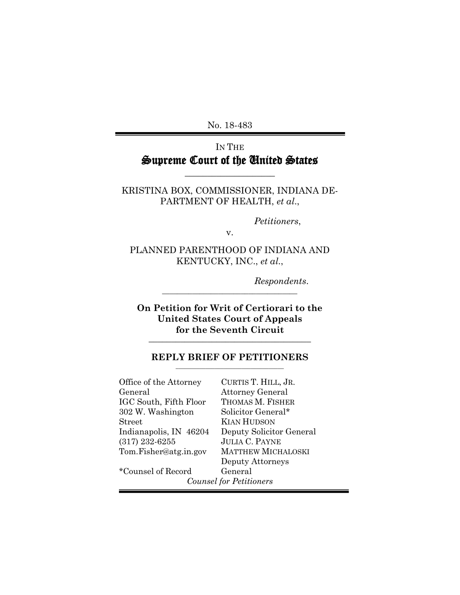No. 18-483

## IN THE Supreme Court of the United States

\_\_\_\_\_\_\_\_\_\_\_\_\_\_\_\_\_\_\_\_

KRISTINA BOX, COMMISSIONER, INDIANA DE-PARTMENT OF HEALTH, *et al*.,

*Petitioners*,

v.

PLANNED PARENTHOOD OF INDIANA AND KENTUCKY, INC., *et al*.,

*Respondents*.

**On Petition for Writ of Certiorari to the United States Court of Appeals for the Seventh Circuit \_\_\_\_\_\_\_\_\_\_\_\_\_\_\_\_\_\_\_\_\_\_\_\_\_\_\_\_\_\_\_\_\_\_\_\_** 

**\_\_\_\_\_\_\_\_\_\_\_\_\_\_\_\_\_\_\_\_\_\_\_\_\_\_\_\_\_\_\_\_\_\_\_\_** 

#### **REPLY BRIEF OF PETITIONERS \_\_\_\_\_\_\_\_\_\_\_\_\_\_\_\_\_\_\_\_\_\_\_\_\_\_\_\_\_\_\_\_\_\_\_\_**

| Office of the Attorney         | CURTIS T. HILL, JR.       |  |
|--------------------------------|---------------------------|--|
| General                        | <b>Attorney General</b>   |  |
| IGC South, Fifth Floor         | THOMAS M. FISHER          |  |
| 302 W. Washington              | Solicitor General*        |  |
| <b>Street</b>                  | KIAN HUDSON               |  |
| Indianapolis, IN 46204         | Deputy Solicitor General  |  |
| $(317)$ 232-6255               | <b>JULIA C. PAYNE</b>     |  |
| Tom.Fisher@atg.in.gov          | <b>MATTHEW MICHALOSKI</b> |  |
|                                | Deputy Attorneys          |  |
| *Counsel of Record             | General                   |  |
| <b>Counsel for Petitioners</b> |                           |  |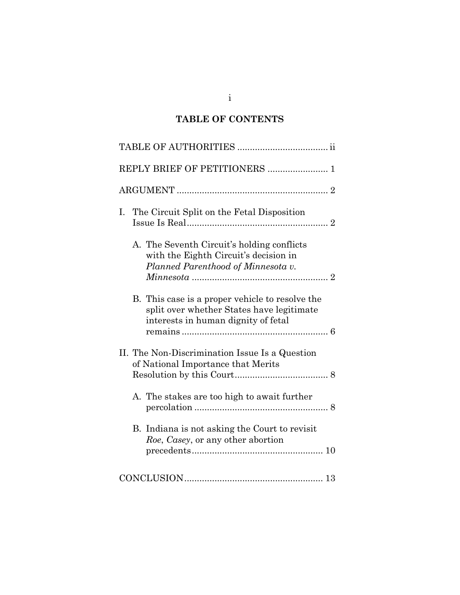## **TABLE OF CONTENTS**

| REPLY BRIEF OF PETITIONERS  1                                                                                                                                                                                                                                    |  |
|------------------------------------------------------------------------------------------------------------------------------------------------------------------------------------------------------------------------------------------------------------------|--|
|                                                                                                                                                                                                                                                                  |  |
| The Circuit Split on the Fetal Disposition<br>$I_{\cdot}$                                                                                                                                                                                                        |  |
| A. The Seventh Circuit's holding conflicts<br>with the Eighth Circuit's decision in<br>Planned Parenthood of Minnesota v.<br>B. This case is a proper vehicle to resolve the<br>split over whether States have legitimate<br>interests in human dignity of fetal |  |
| II. The Non-Discrimination Issue Is a Question<br>of National Importance that Merits                                                                                                                                                                             |  |
| A. The stakes are too high to await further                                                                                                                                                                                                                      |  |
| B. Indiana is not asking the Court to revisit<br>Roe, Casey, or any other abortion                                                                                                                                                                               |  |
|                                                                                                                                                                                                                                                                  |  |

i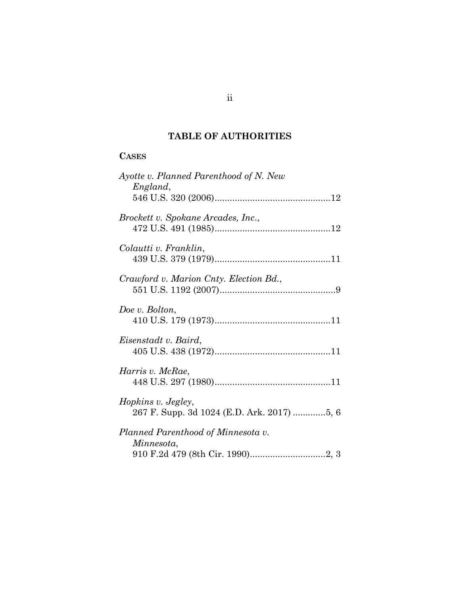## **TABLE OF AUTHORITIES**

## **CASES**

| Ayotte v. Planned Parenthood of N. New<br>England, |
|----------------------------------------------------|
| Brockett v. Spokane Arcades, Inc.,                 |
| Colautti v. Franklin,                              |
| Crawford v. Marion Cnty. Election Bd.,             |
| Doe v. Bolton,                                     |
| Eisenstadt v. Baird,                               |
| Harris v. McRae,                                   |
| Hopkins v. Jegley,                                 |
| Planned Parenthood of Minnesota v.<br>Minnesota,   |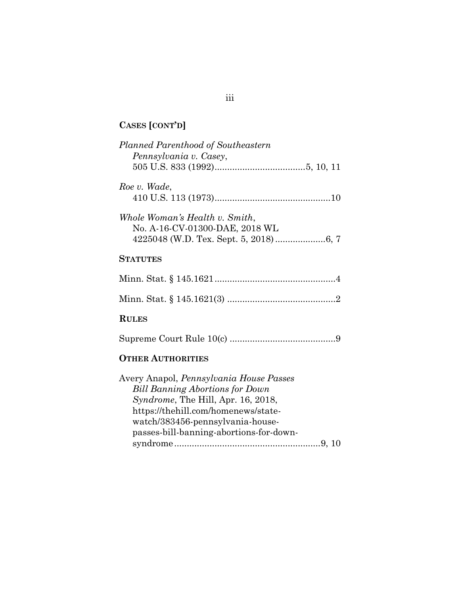# **CASES [CONT'D]**

| Planned Parenthood of Southeastern<br>Pennsylvania v. Casey,                                                                                                                                                                                  |  |
|-----------------------------------------------------------------------------------------------------------------------------------------------------------------------------------------------------------------------------------------------|--|
| Roe v. Wade,                                                                                                                                                                                                                                  |  |
| Whole Woman's Health v. Smith,<br>No. A-16-CV-01300-DAE, 2018 WL                                                                                                                                                                              |  |
| <b>STATUTES</b>                                                                                                                                                                                                                               |  |
|                                                                                                                                                                                                                                               |  |
|                                                                                                                                                                                                                                               |  |
| <b>RULES</b>                                                                                                                                                                                                                                  |  |
|                                                                                                                                                                                                                                               |  |
| <b>OTHER AUTHORITIES</b>                                                                                                                                                                                                                      |  |
| Avery Anapol, Pennsylvania House Passes<br><b>Bill Banning Abortions for Down</b><br>Syndrome, The Hill, Apr. 16, 2018,<br>https://thehill.com/homenews/state-<br>watch/383456-pennsylvania-house-<br>passes-bill-banning-abortions-for-down- |  |

## iii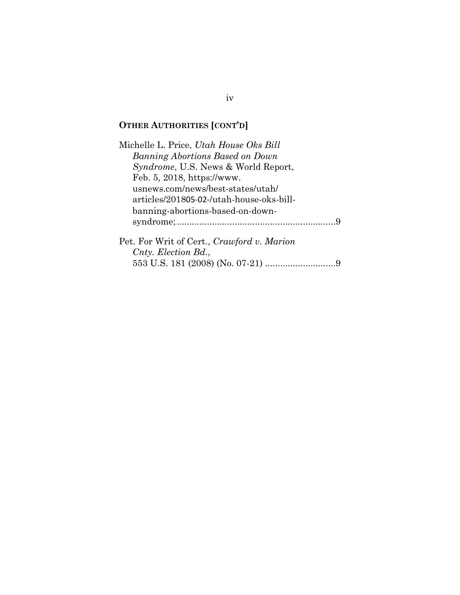## **OTHER AUTHORITIES [CONT'D]**

Michelle L. Price, *Utah House Oks Bill Banning Abortions Based on Down Syndrome*, U.S. News & World Report, Feb. 5, 2018, https://www. usnews.com/news/best-states/utah/ articles/201805-02-/utah-house-oks-billbanning-abortions-based-on-downsyndrome;..............................................................[.9](#page-13-3) Pet. For Writ of Cert., *Crawford v. Marion* 

*Cnty. Election Bd.*, 553 U.S. 181 (2008) (No. 07-21) ...........................[.9](#page-13-4)

iv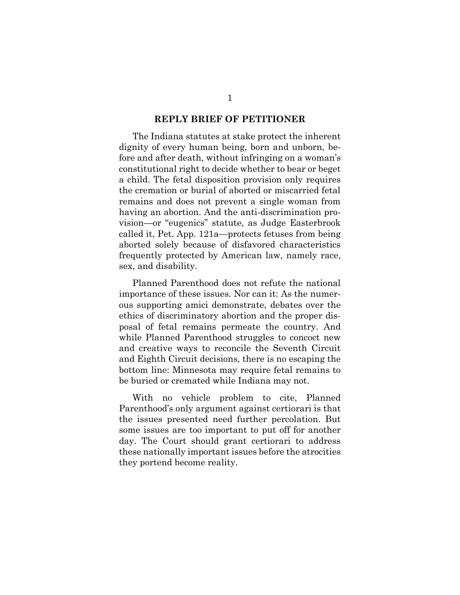#### **REPLY BRIEF OF PETITIONER**

The Indiana statutes at stake protect the inherent dignity of every human being, born and unborn, before and after death, without infringing on a woman's constitutional right to decide whether to bear or beget a child. The fetal disposition provision only requires the cremation or burial of aborted or miscarried fetal remains and does not prevent a single woman from having an abortion. And the anti-discrimination provision—or "eugenics" statute, as Judge Easterbrook called it, Pet. App. 121a—protects fetuses from being aborted solely because of disfavored characteristics frequently protected by American law, namely race, sex, and disability.

Planned Parenthood does not refute the national importance of these issues. Nor can it: As the numerous supporting amici demonstrate, debates over the ethics of discriminatory abortion and the proper disposal of fetal remains permeate the country. And while Planned Parenthood struggles to concoct new and creative ways to reconcile the Seventh Circuit and Eighth Circuit decisions, there is no escaping the bottom line: Minnesota may require fetal remains to be buried or cremated while Indiana may not.

With no vehicle problem to cite, Planned Parenthood's only argument against certiorari is that the issues presented need further percolation. But some issues are too important to put off for another day. The Court should grant certiorari to address these nationally important issues before the atrocities they portend become reality.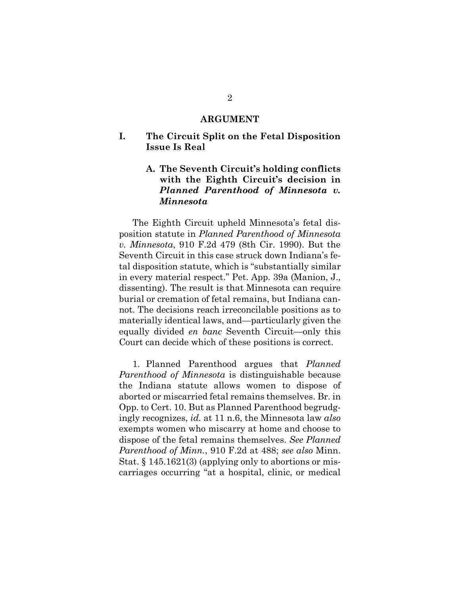#### **ARGUMENT**

## **I. The Circuit Split on the Fetal Disposition Issue Is Real**

## **A. The Seventh Circuit's holding conflicts with the Eighth Circuit's decision in**  *Planned Parenthood of Minnesota v. Minnesota*

<span id="page-6-0"></span>The Eighth Circuit upheld Minnesota's fetal disposition statute in *Planned Parenthood of Minnesota v. Minnesota*, 910 F.2d 479 (8th Cir. 1990). But the Seventh Circuit in this case struck down Indiana's fetal disposition statute, which is "substantially similar in every material respect." Pet. App. 39a (Manion, J., dissenting). The result is that Minnesota can require burial or cremation of fetal remains, but Indiana cannot. The decisions reach irreconcilable positions as to materially identical laws, and—particularly given the equally divided *en banc* Seventh Circuit—only this Court can decide which of these positions is correct.

<span id="page-6-1"></span>1. Planned Parenthood argues that *Planned Parenthood of Minnesota* is distinguishable because the Indiana statute allows women to dispose of aborted or miscarried fetal remains themselves. Br. in Opp. to Cert. 10. But as Planned Parenthood begrudgingly recognizes, *id.* at 11 n.6, the Minnesota law *also* exempts women who miscarry at home and choose to dispose of the fetal remains themselves. *See Planned Parenthood of Minn.*, 910 F.2d at 488; *see also* Minn. Stat. § 145.1621(3) (applying only to abortions or miscarriages occurring "at a hospital, clinic, or medical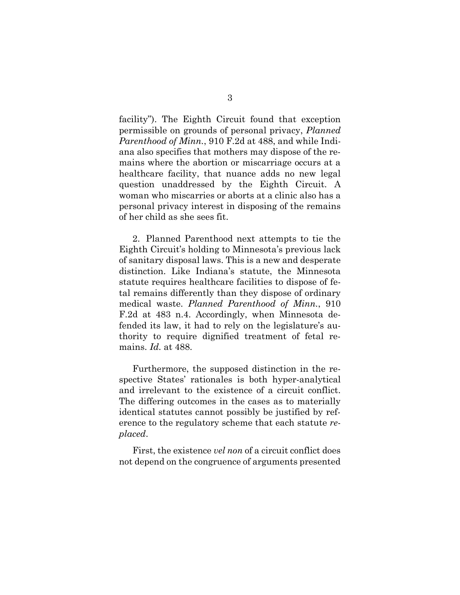<span id="page-7-0"></span>facility"). The Eighth Circuit found that exception permissible on grounds of personal privacy, *Planned Parenthood of Minn.*, 910 F.2d at 488, and while Indiana also specifies that mothers may dispose of the remains where the abortion or miscarriage occurs at a healthcare facility, that nuance adds no new legal question unaddressed by the Eighth Circuit. A woman who miscarries or aborts at a clinic also has a personal privacy interest in disposing of the remains of her child as she sees fit.

2. Planned Parenthood next attempts to tie the Eighth Circuit's holding to Minnesota's previous lack of sanitary disposal laws. This is a new and desperate distinction. Like Indiana's statute, the Minnesota statute requires healthcare facilities to dispose of fetal remains differently than they dispose of ordinary medical waste. *Planned Parenthood of Minn.*, 910 F.2d at 483 n.4. Accordingly, when Minnesota defended its law, it had to rely on the legislature's authority to require dignified treatment of fetal remains. *Id.* at 488.

Furthermore, the supposed distinction in the respective States' rationales is both hyper-analytical and irrelevant to the existence of a circuit conflict. The differing outcomes in the cases as to materially identical statutes cannot possibly be justified by reference to the regulatory scheme that each statute *replaced*.

First, the existence *vel non* of a circuit conflict does not depend on the congruence of arguments presented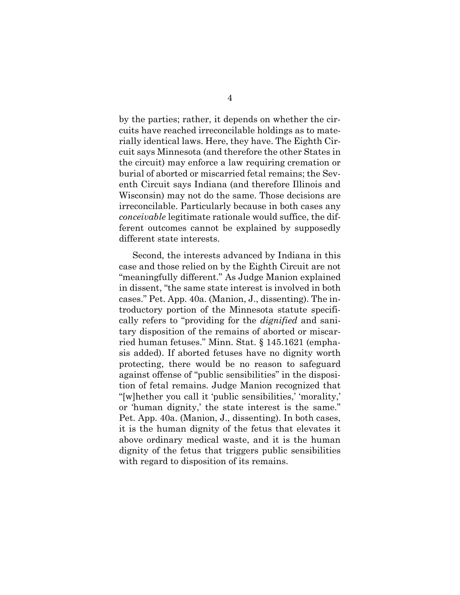by the parties; rather, it depends on whether the circuits have reached irreconcilable holdings as to materially identical laws. Here, they have. The Eighth Circuit says Minnesota (and therefore the other States in the circuit) may enforce a law requiring cremation or burial of aborted or miscarried fetal remains; the Seventh Circuit says Indiana (and therefore Illinois and Wisconsin) may not do the same. Those decisions are irreconcilable. Particularly because in both cases any *conceivable* legitimate rationale would suffice, the different outcomes cannot be explained by supposedly different state interests.

<span id="page-8-0"></span>Second, the interests advanced by Indiana in this case and those relied on by the Eighth Circuit are not "meaningfully different." As Judge Manion explained in dissent, "the same state interest is involved in both cases." Pet. App. 40a. (Manion, J., dissenting). The introductory portion of the Minnesota statute specifically refers to "providing for the *dignified* and sanitary disposition of the remains of aborted or miscarried human fetuses." Minn. Stat. § 145.1621 (emphasis added). If aborted fetuses have no dignity worth protecting, there would be no reason to safeguard against offense of "public sensibilities" in the disposition of fetal remains. Judge Manion recognized that "[w]hether you call it 'public sensibilities,' 'morality,' or 'human dignity,' the state interest is the same." Pet. App. 40a. (Manion, J., dissenting). In both cases, it is the human dignity of the fetus that elevates it above ordinary medical waste, and it is the human dignity of the fetus that triggers public sensibilities with regard to disposition of its remains.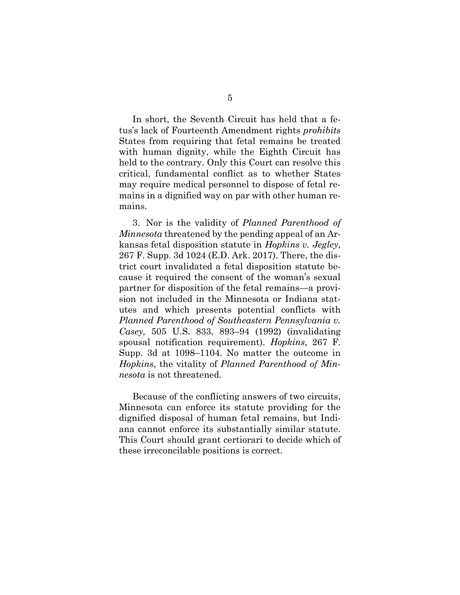In short, the Seventh Circuit has held that a fetus's lack of Fourteenth Amendment rights *prohibits*  States from requiring that fetal remains be treated with human dignity, while the Eighth Circuit has held to the contrary. Only this Court can resolve this critical, fundamental conflict as to whether States may require medical personnel to dispose of fetal remains in a dignified way on par with other human remains.

<span id="page-9-0"></span>3. Nor is the validity of *Planned Parenthood of Minnesota* threatened by the pending appeal of an Arkansas fetal disposition statute in *Hopkins v. Jegley*, 267 F. Supp. 3d 1024 (E.D. Ark. 2017). There, the district court invalidated a fetal disposition statute because it required the consent of the woman's sexual partner for disposition of the fetal remains—a provision not included in the Minnesota or Indiana statutes and which presents potential conflicts with *Planned Parenthood of Southeastern Pennsylvania v. Casey,* 505 U.S. 833, 893–94 (1992) (invalidating spousal notification requirement). *Hopkins*, 267 F. Supp. 3d at 1098–1104. No matter the outcome in *Hopkins*, the vitality of *Planned Parenthood of Minnesota* is not threatened.

<span id="page-9-1"></span>Because of the conflicting answers of two circuits, Minnesota can enforce its statute providing for the dignified disposal of human fetal remains, but Indiana cannot enforce its substantially similar statute. This Court should grant certiorari to decide which of these irreconcilable positions is correct.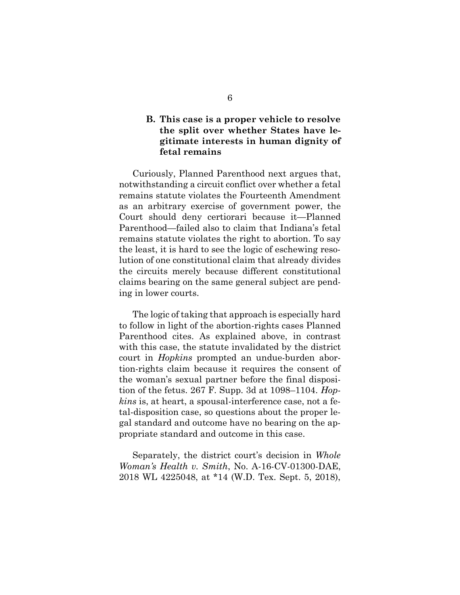## **B. This case is a proper vehicle to resolve the split over whether States have legitimate interests in human dignity of fetal remains**

Curiously, Planned Parenthood next argues that, notwithstanding a circuit conflict over whether a fetal remains statute violates the Fourteenth Amendment as an arbitrary exercise of government power, the Court should deny certiorari because it—Planned Parenthood—failed also to claim that Indiana's fetal remains statute violates the right to abortion. To say the least, it is hard to see the logic of eschewing resolution of one constitutional claim that already divides the circuits merely because different constitutional claims bearing on the same general subject are pending in lower courts.

<span id="page-10-0"></span>The logic of taking that approach is especially hard to follow in light of the abortion-rights cases Planned Parenthood cites. As explained above, in contrast with this case, the statute invalidated by the district court in *Hopkins* prompted an undue-burden abortion-rights claim because it requires the consent of the woman's sexual partner before the final disposition of the fetus. 267 F. Supp. 3d at 1098–1104. *Hopkins* is, at heart, a spousal-interference case, not a fetal-disposition case, so questions about the proper legal standard and outcome have no bearing on the appropriate standard and outcome in this case.

<span id="page-10-1"></span>Separately, the district court's decision in *Whole Woman's Health v. Smith*, No. A-16-CV-01300-DAE, 2018 WL 4225048, at \*14 (W.D. Tex. Sept. 5, 2018),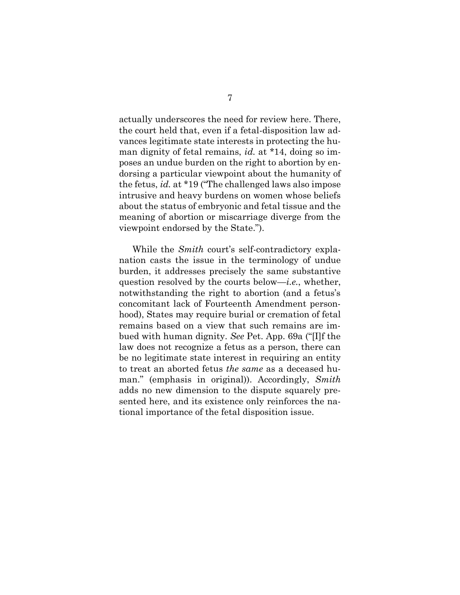<span id="page-11-0"></span>actually underscores the need for review here. There, the court held that, even if a fetal-disposition law advances legitimate state interests in protecting the human dignity of fetal remains, *id.* at \*14, doing so imposes an undue burden on the right to abortion by endorsing a particular viewpoint about the humanity of the fetus, *id.* at \*19 ("The challenged laws also impose intrusive and heavy burdens on women whose beliefs about the status of embryonic and fetal tissue and the meaning of abortion or miscarriage diverge from the viewpoint endorsed by the State.").

While the *Smith* court's self-contradictory explanation casts the issue in the terminology of undue burden, it addresses precisely the same substantive question resolved by the courts below—*i.e.*, whether, notwithstanding the right to abortion (and a fetus's concomitant lack of Fourteenth Amendment personhood), States may require burial or cremation of fetal remains based on a view that such remains are imbued with human dignity. *See* Pet. App. 69a ("[I]f the law does not recognize a fetus as a person, there can be no legitimate state interest in requiring an entity to treat an aborted fetus *the same* as a deceased human." (emphasis in original)). Accordingly, *Smith*  adds no new dimension to the dispute squarely presented here, and its existence only reinforces the national importance of the fetal disposition issue.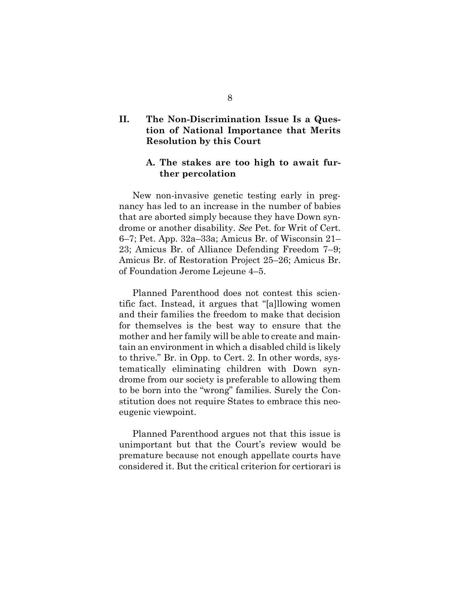## **II. The Non-Discrimination Issue Is a Question of National Importance that Merits Resolution by this Court**

### **A. The stakes are too high to await further percolation**

New non-invasive genetic testing early in pregnancy has led to an increase in the number of babies that are aborted simply because they have Down syndrome or another disability. *See* Pet. for Writ of Cert. 6–7; Pet. App. 32a–33a; Amicus Br. of Wisconsin 21– 23; Amicus Br. of Alliance Defending Freedom 7–9; Amicus Br. of Restoration Project 25–26; Amicus Br. of Foundation Jerome Lejeune 4–5.

Planned Parenthood does not contest this scientific fact. Instead, it argues that "[a]llowing women and their families the freedom to make that decision for themselves is the best way to ensure that the mother and her family will be able to create and maintain an environment in which a disabled child is likely to thrive." Br. in Opp. to Cert. 2. In other words, systematically eliminating children with Down syndrome from our society is preferable to allowing them to be born into the "wrong" families. Surely the Constitution does not require States to embrace this neoeugenic viewpoint.

Planned Parenthood argues not that this issue is unimportant but that the Court's review would be premature because not enough appellate courts have considered it. But the critical criterion for certiorari is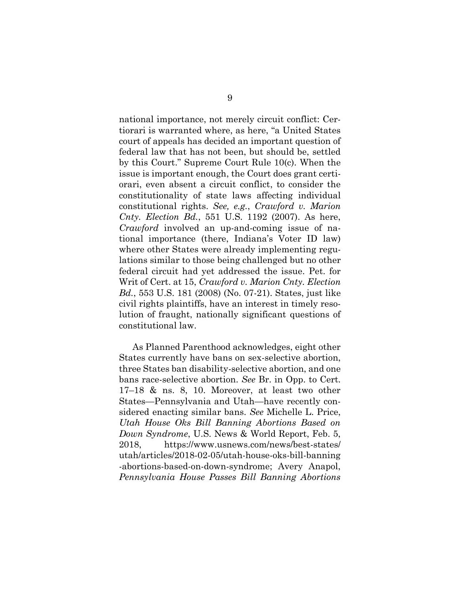<span id="page-13-1"></span><span id="page-13-0"></span>national importance, not merely circuit conflict: Certiorari is warranted where, as here, "a United States court of appeals has decided an important question of federal law that has not been, but should be, settled by this Court." Supreme Court Rule 10(c). When the issue is important enough, the Court does grant certiorari, even absent a circuit conflict, to consider the constitutionality of state laws affecting individual constitutional rights. *See, e.g.*, *Crawford v. Marion Cnty. Election Bd.*, 551 U.S. 1192 (2007). As here, *Crawford* involved an up-and-coming issue of national importance (there, Indiana's Voter ID law) where other States were already implementing regulations similar to those being challenged but no other federal circuit had yet addressed the issue. Pet. for Writ of Cert. at 15, *Crawford v. Marion Cnty. Election Bd.*, 553 U.S. 181 (2008) (No. 07-21). States, just like civil rights plaintiffs, have an interest in timely resolution of fraught, nationally significant questions of constitutional law.

<span id="page-13-4"></span><span id="page-13-3"></span><span id="page-13-2"></span>As Planned Parenthood acknowledges, eight other States currently have bans on sex-selective abortion, three States ban disability-selective abortion, and one bans race-selective abortion. *See* Br. in Opp. to Cert. 17–18 & ns. 8, 10. Moreover, at least two other States—Pennsylvania and Utah—have recently considered enacting similar bans. *See* Michelle L. Price, *Utah House Oks Bill Banning Abortions Based on Down Syndrome*, U.S. News & World Report, Feb. 5, 2018, https://www.usnews.com/news/best-states/ utah/articles/2018-02-05/utah-house-oks-bill-banning -abortions-based-on-down-syndrome; Avery Anapol, *Pennsylvania House Passes Bill Banning Abortions*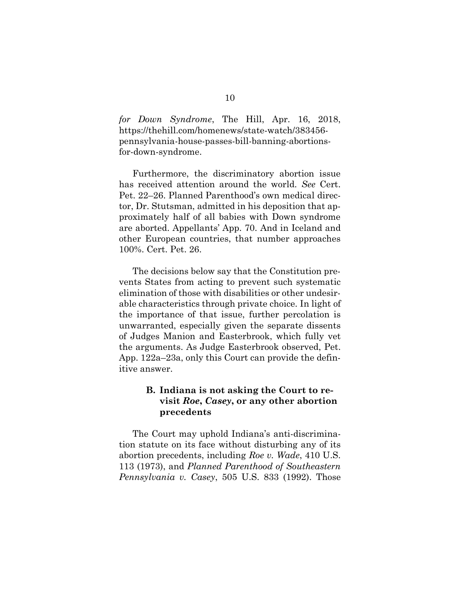*for Down Syndrome*, The Hill, Apr. 16, 2018, https://thehill.com/homenews/state-watch/383456 pennsylvania-house-passes-bill-banning-abortionsfor-down-syndrome.

Furthermore, the discriminatory abortion issue has received attention around the world. *See* Cert. Pet. 22–26. Planned Parenthood's own medical director, Dr. Stutsman, admitted in his deposition that approximately half of all babies with Down syndrome are aborted. Appellants' App. 70. And in Iceland and other European countries, that number approaches 100%. Cert. Pet. 26.

The decisions below say that the Constitution prevents States from acting to prevent such systematic elimination of those with disabilities or other undesirable characteristics through private choice. In light of the importance of that issue, further percolation is unwarranted, especially given the separate dissents of Judges Manion and Easterbrook, which fully vet the arguments. As Judge Easterbrook observed, Pet. App. 122a–23a, only this Court can provide the definitive answer.

### <span id="page-14-1"></span>**B. Indiana is not asking the Court to revisit** *Roe***,** *Casey***, or any other abortion precedents**

<span id="page-14-0"></span>The Court may uphold Indiana's anti-discrimination statute on its face without disturbing any of its abortion precedents, including *Roe v. Wade*, 410 U.S. 113 (1973), and *Planned Parenthood of Southeastern Pennsylvania v. Casey*, 505 U.S. 833 (1992). Those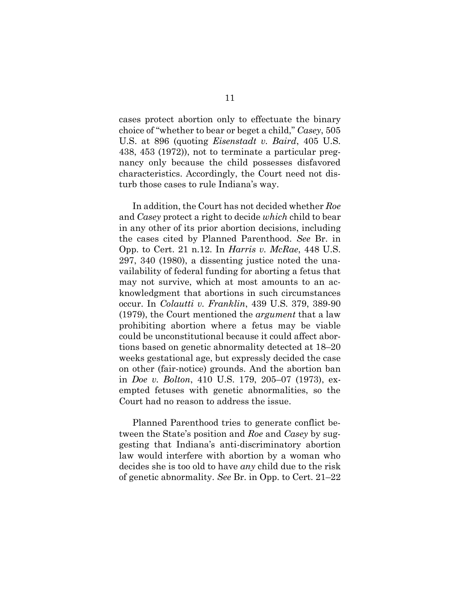<span id="page-15-4"></span><span id="page-15-2"></span>cases protect abortion only to effectuate the binary choice of "whether to bear or beget a child," *Casey*, 505 U.S. at 896 (quoting *Eisenstadt v. Baird*, 405 U.S. 438, 453 (1972)), not to terminate a particular pregnancy only because the child possesses disfavored characteristics. Accordingly, the Court need not disturb those cases to rule Indiana's way.

<span id="page-15-3"></span><span id="page-15-0"></span>In addition, the Court has not decided whether *Roe*  and *Casey* protect a right to decide *which* child to bear in any other of its prior abortion decisions, including the cases cited by Planned Parenthood. *See* Br. in Opp. to Cert. 21 n.12. In *Harris v. McRae*, 448 U.S. 297, 340 (1980), a dissenting justice noted the unavailability of federal funding for aborting a fetus that may not survive, which at most amounts to an acknowledgment that abortions in such circumstances occur. In *Colautti v. Franklin*, 439 U.S. 379, 389-90 (1979), the Court mentioned the *argument* that a law prohibiting abortion where a fetus may be viable could be unconstitutional because it could affect abortions based on genetic abnormality detected at 18–20 weeks gestational age, but expressly decided the case on other (fair-notice) grounds. And the abortion ban in *Doe v. Bolton*, 410 U.S. 179, 205–07 (1973), exempted fetuses with genetic abnormalities, so the Court had no reason to address the issue.

<span id="page-15-1"></span>Planned Parenthood tries to generate conflict between the State's position and *Roe* and *Casey* by suggesting that Indiana's anti-discriminatory abortion law would interfere with abortion by a woman who decides she is too old to have *any* child due to the risk of genetic abnormality. *See* Br. in Opp. to Cert. 21–22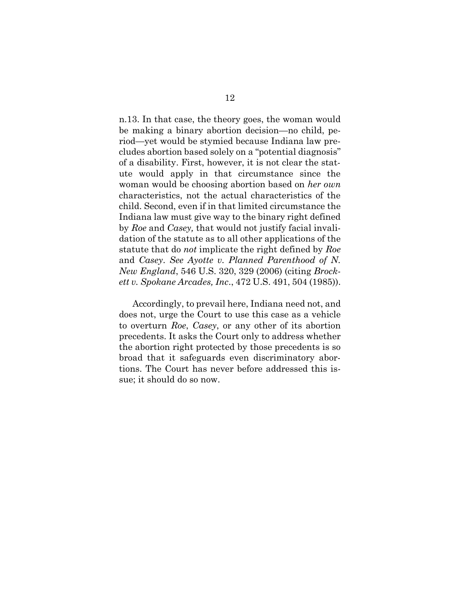n.13. In that case, the theory goes, the woman would be making a binary abortion decision—no child, period—yet would be stymied because Indiana law precludes abortion based solely on a "potential diagnosis" of a disability. First, however, it is not clear the statute would apply in that circumstance since the woman would be choosing abortion based on *her own* characteristics, not the actual characteristics of the child. Second, even if in that limited circumstance the Indiana law must give way to the binary right defined by *Roe* and *Casey,* that would not justify facial invalidation of the statute as to all other applications of the statute that do *not* implicate the right defined by *Roe*  and *Casey*. *See Ayotte v. Planned Parenthood of N. New England*, 546 U.S. 320, 329 (2006) (citing *Brockett v. Spokane Arcades, Inc*., 472 U.S. 491, 504 (1985)).

<span id="page-16-1"></span><span id="page-16-0"></span>Accordingly, to prevail here, Indiana need not, and does not, urge the Court to use this case as a vehicle to overturn *Roe*, *Casey*, or any other of its abortion precedents. It asks the Court only to address whether the abortion right protected by those precedents is so broad that it safeguards even discriminatory abortions. The Court has never before addressed this issue; it should do so now.